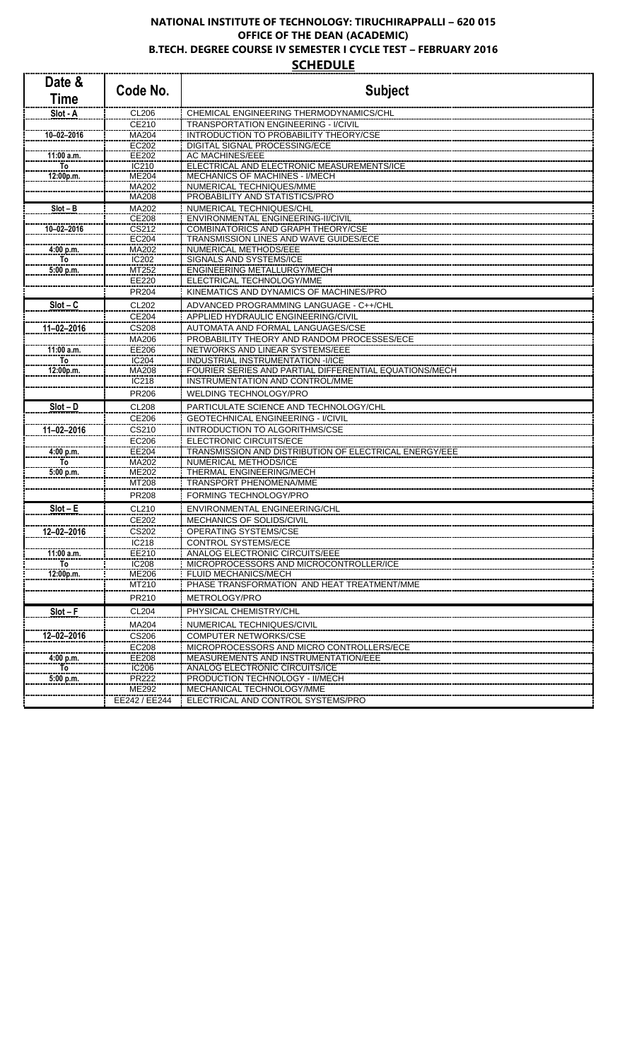## **NATIONAL INSTITUTE OF TECHNOLOGY: TIRUCHIRAPPALLI – 620 015 OFFICE OF THE DEAN (ACADEMIC) B.TECH. DEGREE COURSE IV SEMESTER I CYCLE TEST – FEBRUARY 2016 SCHEDULE**

| Date &<br><b>Time</b>  | Code No.              | <b>Subject</b>                                                                           |
|------------------------|-----------------------|------------------------------------------------------------------------------------------|
| Slot - A               | CL206                 | CHEMICAL ENGINEERING THERMODYNAMICS/CHL                                                  |
|                        | CE210                 | TRANSPORTATION ENGINEERING - I/CIVIL                                                     |
| $10 - 02 - 2016$       | MA204                 | <b>INTRODUCTION TO PROBABILITY THEORY/CSE</b>                                            |
|                        | <b>EC202</b><br>EE202 | <b>DIGITAL SIGNAL PROCESSING/ECE</b><br><b>AC MACHINES/EEE</b>                           |
| 11:00 a.m.<br>To       | IC210                 | ELECTRICAL AND ELECTRONIC MEASUREMENTS/ICE                                               |
| 12:00p.m.              | ME204                 | MECHANICS OF MACHINES - I/MECH                                                           |
|                        | <b>MA202</b>          | NUMERICAL TECHNIQUES/MME                                                                 |
|                        | MA208                 | PROBABILITY AND STATISTICS/PRO                                                           |
| $Slot - B$             | MA202                 | NUMERICAL TECHNIQUES/CHL                                                                 |
| $10 - 02 - 2016$       | CE208<br>CS212        | ENVIRONMENTAL ENGINEERING-II/CIVIL<br><b>COMBINATORICS AND GRAPH THEORY/CSE</b>          |
|                        | EC204                 | TRANSMISSION LINES AND WAVE GUIDES/ECE                                                   |
| 4:00 p.m.              | MA202                 | NUMERICAL METHODS/EEE                                                                    |
| To                     | IC202                 | SIGNALS AND SYSTEMS/ICE                                                                  |
| 5:00 p.m.              | MT252                 | ENGINEERING METALLURGY/MECH                                                              |
|                        | EE220                 | ELECTRICAL TECHNOLOGY/MME                                                                |
|                        | PR204                 | KINEMATICS AND DYNAMICS OF MACHINES/PRO                                                  |
| $Slot - C$             | CL202                 | ADVANCED PROGRAMMING LANGUAGE - C++/CHL                                                  |
|                        | CE204                 | APPLIED HYDRAULIC ENGINEERING/CIVIL                                                      |
| 11-02-2016             | <b>CS208</b>          | AUTOMATA AND FORMAL LANGUAGES/CSE<br>PROBABILITY THEORY AND RANDOM PROCESSES/ECE         |
| 11:00 a.m.             | MA206<br>EE206        | NETWORKS AND LINEAR SYSTEMS/EEE                                                          |
| <b>To</b>              | <b>IC204</b>          | INDUSTRIAL INSTRUMENTATION -I/ICE                                                        |
| 12:00p.m.              | MA208                 | FOURIER SERIES AND PARTIAL DIFFERENTIAL EQUATIONS/MECH                                   |
|                        | IC218                 | INSTRUMENTATION AND CONTROL/MME                                                          |
|                        | PR206                 | WELDING TECHNOLOGY/PRO                                                                   |
| $Slot - D$             | <b>CL208</b>          | PARTICULATE SCIENCE AND TECHNOLOGY/CHL                                                   |
|                        | CE206                 | <b>GEOTECHNICAL ENGINEERING - I/CIVIL</b>                                                |
| 11-02-2016             | CS210                 | INTRODUCTION TO ALGORITHMS/CSE                                                           |
|                        | EC206                 | <b>ELECTRONIC CIRCUITS/ECE</b>                                                           |
| 4:00 p.m.<br><b>To</b> | EE204<br>MA202        | TRANSMISSION AND DISTRIBUTION OF ELECTRICAL ENERGY/EEE<br>NUMERICAL METHODS/ICE          |
| 5:00 p.m.              | ME202                 | THERMAL ENGINEERING/MECH                                                                 |
|                        | MT208                 | TRANSPORT PHENOMENA/MME                                                                  |
|                        | PR208                 | <b>FORMING TECHNOLOGY/PRO</b>                                                            |
| $Slot - E$             | CL210                 | ENVIRONMENTAL ENGINEERING/CHL                                                            |
|                        | CE202                 | MECHANICS OF SOLIDS/CIVIL                                                                |
| 12-02-2016             | CS202                 | OPERATING SYSTEMS/CSE                                                                    |
|                        | IC218                 | <b>CONTROL SYSTEMS/ECE</b>                                                               |
| 11:00 a.m.             | EE210                 | <b>ANALOG ELECTRONIC CIRCUITS/EEE</b>                                                    |
| To                     | <b>IC208</b>          | MICROPROCESSORS AND MICROCONTROLLER/ICE                                                  |
| 12:00p.m.              | <b>ME206</b><br>MT210 | <b>FLUID MECHANICS/MECH</b><br>PHASE TRANSFORMATION AND HEAT TREATMENT/MME               |
|                        |                       |                                                                                          |
|                        | PR210                 | METROLOGY/PRO                                                                            |
| $Slot - F$             | CL204                 | PHYSICAL CHEMISTRY/CHL                                                                   |
|                        | MA204                 | NUMERICAL TECHNIQUES/CIVIL                                                               |
| 12-02-2016             | CS206                 | <b>COMPUTER NETWORKS/CSE</b>                                                             |
| 4:00 p.m.              | EC208<br><b>EE208</b> | MICROPROCESSORS AND MICRO CONTROLLERS/ECE<br><b>MEASUREMENTS AND INSTRUMENTATION/EEE</b> |
| To                     | IC206                 | <b>ANALOG ELECTRONIC CIRCUITS/ICE</b>                                                    |
| 5:00 p.m.              | <b>PR222</b>          | PRODUCTION TECHNOLOGY - II/MECH                                                          |
|                        | ME292                 | MECHANICAL TECHNOLOGY/MME                                                                |
|                        | EE242 / EE244         | ELECTRICAL AND CONTROL SYSTEMS/PRO                                                       |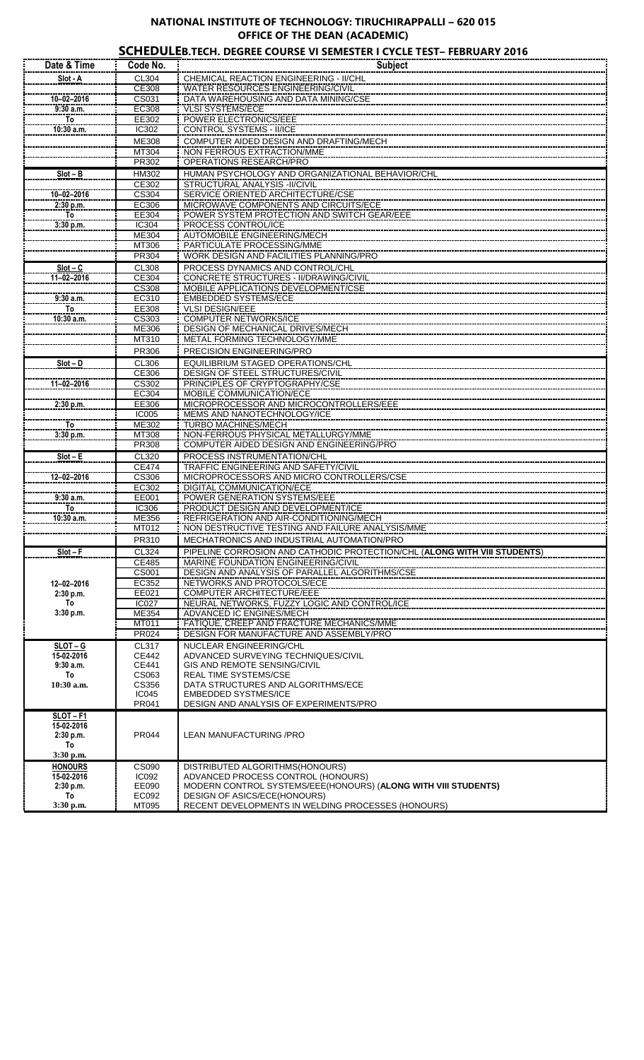## **NATIONAL INSTITUTE OF TECHNOLOGY: TIRUCHIRAPPALLI – 620 015 OFFICE OF THE DEAN (ACADEMIC)**

## **SCHEDULEB.TECH. DEGREE COURSE VI SEMESTER I CYCLE TEST– FEBRUARY 2016**

| Date & Time              | Code No.              | <b>Subject</b>                                                                    |
|--------------------------|-----------------------|-----------------------------------------------------------------------------------|
| Slot - A                 | CL304                 | CHEMICAL REACTION ENGINEERING - II/CHL                                            |
|                          | <b>CE308</b>          | WATER RESOURCES ENGINEERING/CIVIL                                                 |
| $10 - 02 - 2016$         | CS031                 | DATA WAREHOUSING AND DATA MINING/CSE                                              |
| 9:30 a.m.                | <b>EC308</b>          | <b>VLSI SYSTEMS/ECE</b>                                                           |
| <u>To</u>                | EE302                 | <b>POWER ELECTRONICS/EEE</b>                                                      |
| 10:30 a.m.               | IC302                 | CONTROL SYSTEMS - II/ICE                                                          |
|                          | ME308                 | COMPUTER AIDED DESIGN AND DRAFTING/MECH                                           |
|                          | MT304<br><b>PR302</b> | NON FERROUS EXTRACTION/MME<br>OPERATIONS RESEARCH/PRO                             |
| $Slot - B$               | <b>HM302</b>          | HUMAN PSYCHOLOGY AND ORGANIZATIONAL BEHAVIOR/CHL                                  |
|                          | CE302                 | <b>STRUCTURAL ANALYSIS - II/CIVIL</b>                                             |
| $10 - 02 - 2016$         | CS304                 | <b>SERVICE ORIENTED ARCHITECTURE/CSE</b>                                          |
| 2:30 p.m.                | EC306                 | MICROWAVE COMPONENTS AND CIRCUITS/ECE                                             |
| To                       | EE304                 | POWER SYSTEM PROTECTION AND SWITCH GEAR/EEE                                       |
| 3:30 p.m.                | IC304                 | PROCESS CONTROL/ICE                                                               |
|                          | <b>ME304</b>          | <b>AUTOMOBILE ENGINEERING/MECH</b>                                                |
|                          | MT306                 | PARTICULATE PROCESSING/MME                                                        |
|                          | <b>PR304</b>          | <b>WORK DESIGN AND FACILITIES PLANNING/PRO</b>                                    |
| $Slot - C$<br>11-02-2016 | CL308<br>CE304        | PROCESS DYNAMICS AND CONTROL/CHL<br><b>CONCRETE STRUCTURES - II/DRAWING/CIVIL</b> |
|                          | CS308                 | MOBILE APPLICATIONS DEVELOPMENT/CSE                                               |
| 9:30 a.m.                | EC310                 | <b>EMBEDDED SYSTEMS/ECE</b>                                                       |
| <b>To</b>                | EE308                 | <b>VLSI DESIGN/EEE</b>                                                            |
| 10:30 a.m.               | CS303                 | <b>COMPUTER NETWORKS/ICE</b>                                                      |
|                          | ME306                 | DESIGN OF MECHANICAL DRIVES/MECH                                                  |
|                          | MT310                 | METAL FORMING TECHNOLOGY/MME                                                      |
|                          | PR306                 | PRECISION ENGINEERING/PRO                                                         |
| $Slot - D$               | CL306                 | <b>EQUILIBRIUM STAGED OPERATIONS/CHL</b>                                          |
|                          | CE306                 | <b>DESIGN OF STEEL STRUCTURES/CIVIL</b>                                           |
| 11-02-2016               | CS302<br>EC304        | PRINCIPLES OF CRYPTOGRAPHY/CSE<br><b>MOBILE COMMUNICATION/ECE</b>                 |
| 2:30 p.m.                | EE306                 | MICROPROCESSOR AND MICROCONTROLLERS/EEE                                           |
|                          | <b>IC005</b>          | <b>MEMS AND NANOTECHNOLOGY/ICE</b>                                                |
| To <sup>-</sup>          | <b>ME302</b>          | <b>TURBO MACHINES/MECH</b>                                                        |
| 3:30 p.m.                | MT308                 | NON-FERROUS PHYSICAL METALLURGY/MME                                               |
|                          | <b>PR308</b>          | COMPUTER AIDED DESIGN AND ENGINEERING/PRO                                         |
| $Slot - E$               | CL320                 | PROCESS INSTRUMENTATION/CHL                                                       |
|                          | CE474                 | TRAFFIC ENGINEERING AND SAFETY/CIVIL                                              |
| $12 - 02 - 2016$         | CS306                 | MICROPROCESSORS AND MICRO CONTROLLERS/CSE                                         |
| $9:30$ a.m.              | EC302<br>EE001        | <b>DIGITAL COMMUNICATION/ECE</b><br><b>POWER GENERATION SYSTEMS/EEE</b>           |
| То                       | <b>IC306</b>          | PRODUCT DESIGN AND DEVELOPMENT/ICE                                                |
| 10:30 a.m.               | ME356                 | REFRIGERATION AND AIR-CONDITIONING/MECH                                           |
|                          | M1012                 | NON DESTRUCTIVE TESTING AND FAILURE ANALYSIS/MME                                  |
|                          | PR310                 | MECHATRONICS AND INDUSTRIAL AUTOMATION/PRO                                        |
| $Slot - F$               | CL324                 | PIPELINE CORROSION AND CATHODIC PROTECTION/CHL (ALONG WITH VIII STUDENTS)         |
|                          | CE485                 | MARINE FOUNDATION ENGINEERING/CIVIL                                               |
|                          | CS001                 | DESIGN AND ANALYSIS OF PARALLEL ALGORITHMS/CSE                                    |
| 12-02-2016               | EC352                 | NETWORKS AND PROTOCOLS/ECE                                                        |
| 2:30 p.m.<br>To          | EE021<br><b>IC027</b> | COMPUTER ARCHITECTURE/EEE<br>NEURAL NETWORKS, FUZZY LOGIC AND CONTROL/ICE         |
| 3:30 p.m.                | ME354                 | ADVANCED IC ENGINES/MECH                                                          |
|                          | <b>MT011</b>          | FATIQUE, CREEP AND FRACTURE MECHANICS/MME                                         |
|                          | <b>PR024</b>          | <b>DESIGN FOR MANUFACTURE AND ASSEMBLY/PRO</b>                                    |
| $SLOT - G$               | CL317                 | NUCLEAR ENGINEERING/CHL                                                           |
| 15-02-2016               | <b>CE442</b>          | ADVANCED SURVEYING TECHNIQUES/CIVIL                                               |
| 9:30a.m.<br>To           | CE441<br>CS063        | GIS AND REMOTE SENSING/CIVIL<br><b>REAL TIME SYSTEMS/CSE</b>                      |
| 10:30 a.m.               | CS356                 | DATA STRUCTURES AND ALGORITHMS/ECE                                                |
|                          | <b>IC045</b>          | <b>EMBEDDED SYSTMES/ICE</b>                                                       |
|                          | PR041                 | DESIGN AND ANALYSIS OF EXPERIMENTS/PRO                                            |
| $SLOT-F1$                |                       |                                                                                   |
| 15-02-2016               |                       |                                                                                   |
| 2:30 p.m.<br>To          | PR044                 | LEAN MANUFACTURING / PRO                                                          |
| 3:30 p.m.                |                       |                                                                                   |
| <b>HONOURS</b>           | <b>CS090</b>          | DISTRIBUTED ALGORITHMS(HONOURS)                                                   |
| 15-02-2016               | <b>IC092</b>          | ADVANCED PROCESS CONTROL (HONOURS)                                                |
| 2:30 p.m.                | EE090                 | MODERN CONTROL SYSTEMS/EEE(HONOURS) (ALONG WITH VIII STUDENTS)                    |
| To                       | EC092                 | DESIGN OF ASICS/ECE(HONOURS)                                                      |
| 3:30 p.m.                | MT095                 | RECENT DEVELOPMENTS IN WELDING PROCESSES (HONOURS)                                |